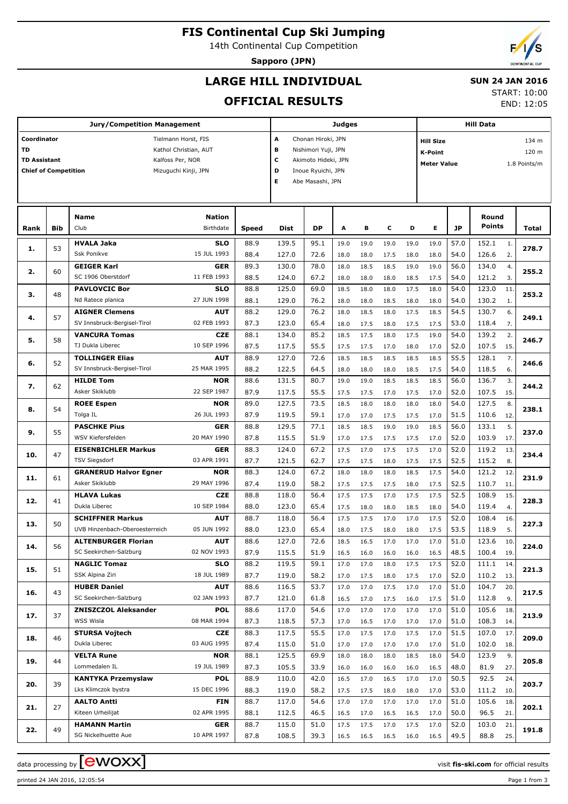# **FIS Continental Cup Ski Jumping**

14th Continental Cup Competition

**Sapporo (JPN)**

END: 12:05

## **LARGE HILL INDIVIDUAL**

#### **SUN 24 JAN 2016** START: 10:00

**OFFICIAL RESULTS**

|                             |     | <b>Jury/Competition Management</b> | <b>Judges</b>              |                         |                          |                    |      |      | <b>Hill Data</b> |                           |                                    |           |                 |     |       |  |  |  |
|-----------------------------|-----|------------------------------------|----------------------------|-------------------------|--------------------------|--------------------|------|------|------------------|---------------------------|------------------------------------|-----------|-----------------|-----|-------|--|--|--|
| Coordinator                 |     | Tielmann Horst, FIS                |                            | A<br>Chonan Hiroki, JPN |                          |                    |      |      |                  | 134 m<br><b>Hill Size</b> |                                    |           |                 |     |       |  |  |  |
| TD                          |     |                                    | Kathol Christian, AUT      |                         | в<br>Nishimori Yuji, JPN |                    |      |      |                  |                           | 120 m<br>K-Point                   |           |                 |     |       |  |  |  |
| <b>TD Assistant</b>         |     | Kalfoss Per, NOR                   |                            |                         | c<br>Akimoto Hideki, JPN |                    |      |      |                  |                           | <b>Meter Value</b><br>1.8 Points/m |           |                 |     |       |  |  |  |
| <b>Chief of Competition</b> |     |                                    | Mizuguchi Kinji, JPN       |                         | D                        | Inoue Ryuichi, JPN |      |      |                  |                           |                                    |           |                 |     |       |  |  |  |
|                             |     |                                    |                            |                         | Е                        | Abe Masashi, JPN   |      |      |                  |                           |                                    |           |                 |     |       |  |  |  |
|                             |     |                                    |                            |                         |                          |                    |      |      |                  |                           |                                    |           |                 |     |       |  |  |  |
|                             |     |                                    |                            |                         |                          |                    |      |      |                  |                           |                                    |           |                 |     |       |  |  |  |
|                             | Bib | <b>Name</b><br>Club                | <b>Nation</b><br>Birthdate |                         | <b>Dist</b>              | DP                 | Α    | в    | с                | D                         | E                                  | <b>JP</b> | Round<br>Points |     |       |  |  |  |
| Rank                        |     |                                    |                            | <b>Speed</b>            |                          |                    |      |      |                  |                           |                                    |           |                 |     | Total |  |  |  |
| 1.                          | 53  | <b>HVALA Jaka</b>                  | <b>SLO</b>                 | 88.9                    | 139.5                    | 95.1               | 19.0 | 19.0 | 19.0             | 19.0                      | 19.0                               | 57.0      | 152.1           | 1.  | 278.7 |  |  |  |
|                             |     | <b>Ssk Ponikve</b>                 | 15 JUL 1993                | 88.4                    | 127.0                    | 72.6               | 18.0 | 18.0 | 17.5             | 18.0                      | 18.0                               | 54.0      | 126.6           | 2.  |       |  |  |  |
| 2.                          | 60  | <b>GEIGER Karl</b>                 | <b>GER</b>                 | 89.3                    | 130.0                    | 78.0               | 18.0 | 18.5 | 18.5             | 19.0                      | 19.0                               | 56.0      | 134.0           | 4.  | 255.2 |  |  |  |
|                             |     | SC 1906 Oberstdorf                 | 11 FEB 1993                | 88.5                    | 124.0                    | 67.2               | 18.0 | 18.0 | 18.0             | 18.5                      | 17.5                               | 54.0      | 121.2           | 3.  |       |  |  |  |
| з.                          | 48  | <b>PAVLOVCIC Bor</b>               | <b>SLO</b>                 | 88.8                    | 125.0                    | 69.0               | 18.5 | 18.0 | 18.0             | 17.5                      | 18.0                               | 54.0      | 123.0           | 11. | 253.2 |  |  |  |
|                             |     | Nd Ratece planica                  | 27 JUN 1998                | 88.1                    | 129.0                    | 76.2               | 18.0 | 18.0 | 18.5             | 18.0                      | 18.0                               | 54.0      | 130.2           | 1.  |       |  |  |  |
| 4.                          | 57  | <b>AIGNER Clemens</b>              | <b>AUT</b>                 | 88.2                    | 129.0                    | 76.2               | 18.0 | 18.5 | 18.0             | 17.5                      | 18.5                               | 54.5      | 130.7           | 6.  | 249.1 |  |  |  |
|                             |     | SV Innsbruck-Bergisel-Tirol        | 02 FEB 1993                | 87.3                    | 123.0                    | 65.4               | 18.0 | 17.5 | 18.0             | 17.5                      | 17.5                               | 53.0      | 118.4           | 7.  |       |  |  |  |
| 5.                          | 58  | <b>VANCURA Tomas</b>               | <b>CZE</b>                 | 88.1                    | 134.0                    | 85.2               | 18.5 | 17.5 | 18.0             | 17.5                      | 19.0                               | 54.0      | 139.2           | 2.  | 246.7 |  |  |  |
|                             |     | TJ Dukla Liberec                   | 10 SEP 1996                | 87.5                    | 117.5                    | 55.5               | 17.5 | 17.5 | 17.0             | 18.0                      | 17.0                               | 52.0      | 107.5           | 15. |       |  |  |  |
| 6.                          | 52  | <b>TOLLINGER Elias</b>             | <b>AUT</b>                 | 88.9                    | 127.0                    | 72.6               | 18.5 | 18.5 | 18.5             | 18.5                      | 18.5                               | 55.5      | 128.1           | 7.  | 246.6 |  |  |  |
|                             |     | SV Innsbruck-Bergisel-Tirol        | 25 MAR 1995                | 88.2                    | 122.5                    | 64.5               | 18.0 | 18.0 | 18.0             | 18.5                      | 17.5                               | 54.0      | 118.5           | 6.  |       |  |  |  |
| 7.                          | 62  | <b>HILDE Tom</b>                   | <b>NOR</b>                 | 88.6                    | 131.5                    | 80.7               | 19.0 | 19.0 | 18.5             | 18.5                      | 18.5                               | 56.0      | 136.7           | 3.  | 244.2 |  |  |  |
| 8.                          |     | Asker Skiklubb                     | 22 SEP 1987                | 87.9                    | 117.5                    | 55.5               | 17.5 | 17.5 | 17.0             | 17.5                      | 17.0                               | 52.0      | 107.5           | 15. |       |  |  |  |
|                             | 54  | <b>ROEE Espen</b>                  | <b>NOR</b>                 | 89.0                    | 127.5                    | 73.5               | 18.5 | 18.0 | 18.0             | 18.0                      | 18.0                               | 54.0      | 127.5           | 8.  | 238.1 |  |  |  |
|                             |     | Tolga IL                           | 26 JUL 1993                | 87.9                    | 119.5                    | 59.1               | 17.0 | 17.0 | 17.5             | 17.5                      | 17.0                               | 51.5      | 110.6           | 12. |       |  |  |  |
| 9.                          | 55  | <b>PASCHKE Pius</b>                | <b>GER</b>                 | 88.8                    | 129.5                    | 77.1               | 18.5 | 18.5 | 19.0             | 19.0                      | 18.5                               | 56.0      | 133.1           | 5.  | 237.0 |  |  |  |
|                             |     | WSV Kiefersfelden                  | 20 MAY 1990                | 87.8                    | 115.5                    | 51.9               | 17.0 | 17.5 | 17.5             | 17.5                      | 17.0                               | 52.0      | 103.9           | 17. |       |  |  |  |
| 10.                         | 47  | <b>EISENBICHLER Markus</b>         | <b>GER</b>                 | 88.3                    | 124.0                    | 67.2               | 17.5 | 17.0 | 17.5             | 17.5                      | 17.0                               | 52.0      | 119.2           | 13. | 234.4 |  |  |  |
|                             |     | <b>TSV Siegsdorf</b>               | 03 APR 1991                | 87.7                    | 121.5                    | 62.7               | 17.5 | 17.5 | 18.0             | 17.5                      | 17.5                               | 52.5      | 115.2           | 8.  |       |  |  |  |
| 11.                         | 61  | <b>GRANERUD Halvor Egner</b>       | <b>NOR</b>                 | 88.3                    | 124.0                    | 67.2               | 18.0 | 18.0 | 18.0             | 18.5                      | 17.5                               | 54.0      | 121.2           | 12. | 231.9 |  |  |  |
|                             |     | Asker Skiklubb                     | 29 MAY 1996                | 87.4                    | 119.0                    | 58.2               | 17.5 | 17.5 | 17.5             | 18.0                      | 17.5                               | 52.5      | 110.7           | 11. |       |  |  |  |
| 12.                         | 41  | <b>HLAVA Lukas</b>                 | <b>CZE</b>                 | 88.8                    | 118.0                    | 56.4               | 17.5 | 17.5 | 17.0             | 17.5                      | 17.5                               | 52.5      | 108.9           | 15. | 228.3 |  |  |  |
|                             |     | Dukla Liberec                      | 10 SEP 1984                | 88.0                    | 123.0                    | 65.4               | 17.5 | 18.0 | 18.0             | 18.5                      | 18.0                               | 54.0      | 119.4           | 4.  |       |  |  |  |
| 13.                         | 50  | <b>SCHIFFNER Markus</b>            | <b>AUT</b>                 | 88.7                    | 118.0                    | 56.4               | 17.5 | 17.5 | 17.0             | 17.0                      | 17.5                               | 52.0      | 108.4           | 16. | 227.3 |  |  |  |
|                             |     | UVB Hinzenbach-Oberoesterreich     | 05 JUN 1992                | 88.0                    | 123.0                    | 65.4               | 18.0 | 17.5 | 18.0             | 18.0                      | 17.5                               | 53.5      | 118.9           | 5.  |       |  |  |  |
| 14.                         | 56  | <b>ALTENBURGER Florian</b>         | <b>AUT</b>                 | 88.6                    | 127.0                    | 72.6               | 18.5 | 16.5 | 17.0             | 17.0                      | 17.0                               | 51.0      | 123.6           | 10. | 224.0 |  |  |  |
|                             |     | SC Seekirchen-Salzburg             | 02 NOV 1993                | 87.9                    | 115.5                    | 51.9               | 16.5 | 16.0 | 16.0             | 16.0                      | 16.5                               | 48.5      | 100.4           | 19. |       |  |  |  |
| 15.                         | 51  | <b>NAGLIC Tomaz</b>                | <b>SLO</b>                 | 88.2                    | 119.5                    | 59.1               | 17.0 | 17.0 | 18.0             | 17.5                      | 17.5                               | 52.0      | 111.1           | 14. | 221.3 |  |  |  |
|                             |     | SSK Alpina Ziri                    | 18 JUL 1989                | 87.7                    | 119.0                    | 58.2               | 17.0 | 17.5 | 18.0             | 17.5                      | 17.0                               | 52.0      | 110.2           | 13. |       |  |  |  |
| 16.                         | 43  | <b>HUBER Daniel</b>                | <b>AUT</b>                 | 88.6                    | 116.5                    | 53.7               | 17.0 | 17.0 | 17.5             | 17.0                      | 17.0                               | 51.0      | 104.7           | 20. | 217.5 |  |  |  |
|                             |     | SC Seekirchen-Salzburg             | 02 JAN 1993                | 87.7                    | 121.0                    | 61.8               | 16.5 | 17.0 | 17.5             | 16.0                      | 17.5                               | 51.0      | 112.8           | 9.  |       |  |  |  |
| 17.                         | 37  | <b>ZNISZCZOL Aleksander</b>        | <b>POL</b>                 | 88.6                    | 117.0                    | 54.6               | 17.0 | 17.0 | 17.0             | 17.0                      | 17.0                               | 51.0      | 105.6           | 18. | 213.9 |  |  |  |
|                             |     | WSS Wisla                          | 08 MAR 1994                | 87.3                    | 118.5                    | 57.3               | 17.0 | 16.5 | 17.0             | 17.0                      | 17.0                               | 51.0      | 108.3           | 14. |       |  |  |  |
| 18.                         | 46  | <b>STURSA Vojtech</b>              | <b>CZE</b>                 | 88.3                    | 117.5                    | 55.5               | 17.0 | 17.5 | 17.0             | 17.5                      | 17.0                               | 51.5      | 107.0           | 17. | 209.0 |  |  |  |
|                             |     | Dukla Liberec                      | 03 AUG 1995                | 87.4                    | 115.0                    | 51.0               | 17.0 | 17.0 | 17.0             | 17.0                      | 17.0                               | 51.0      | 102.0           | 18. |       |  |  |  |
| 19.                         | 44  | <b>VELTA Rune</b>                  | <b>NOR</b>                 | 88.1                    | 125.5                    | 69.9               | 18.0 | 18.0 | 18.0             | 18.5                      | 18.0                               | 54.0      | 123.9           | 9.  | 205.8 |  |  |  |
|                             |     | Lommedalen IL                      | 19 JUL 1989                | 87.3                    | 105.5                    | 33.9               | 16.0 | 16.0 | 16.0             | 16.0                      | 16.5                               | 48.0      | 81.9            | 27. |       |  |  |  |
| 20.                         | 39  | <b>KANTYKA Przemyslaw</b>          | <b>POL</b>                 | 88.9                    | 110.0                    | 42.0               | 16.5 | 17.0 | 16.5             | 17.0                      | 17.0                               | 50.5      | 92.5            | 24. | 203.7 |  |  |  |
|                             |     | Lks Klimczok bystra                | 15 DEC 1996                | 88.3                    | 119.0                    | 58.2               | 17.5 | 17.5 | 18.0             | 18.0                      | 17.0                               | 53.0      | 111.2           | 10. |       |  |  |  |
| 21.                         | 27  | <b>AALTO Antti</b>                 | FIN                        | 88.7                    | 117.0                    | 54.6               | 17.0 | 17.0 | 17.0             | 17.0                      | 17.0                               | 51.0      | 105.6           | 18. | 202.1 |  |  |  |
|                             |     | Kiteen Urheilijat                  | 02 APR 1995                | 88.1                    | 112.5                    | 46.5               | 16.5 | 17.0 | 16.5             | 16.5                      | 17.0                               | 50.0      | 96.5            | 21. |       |  |  |  |
| 22.                         | 49  | <b>HAMANN Martin</b>               | <b>GER</b>                 | 88.7                    | 115.0                    | 51.0               | 17.5 | 17.5 | 17.0             | 17.5                      | 17.0                               | 52.0      | 103.0           | 21. | 191.8 |  |  |  |
|                             |     | SG Nickelhuette Aue                | 10 APR 1997                | 87.8                    | 108.5                    | 39.3               | 16.5 | 16.5 | 16.5             | 16.0                      | 16.5                               | 49.5      | 88.8            | 25. |       |  |  |  |

printed 24 JAN 2016, 12:05:54 Page 1 from 3

data processing by **CWOXX** and  $\overline{C}$  and  $\overline{C}$  and  $\overline{C}$  and  $\overline{C}$  and  $\overline{C}$  and  $\overline{C}$  and  $\overline{C}$  and  $\overline{C}$  and  $\overline{C}$  and  $\overline{C}$  and  $\overline{C}$  and  $\overline{C}$  and  $\overline{C}$  and  $\overline{C}$  and  $\overline{C}$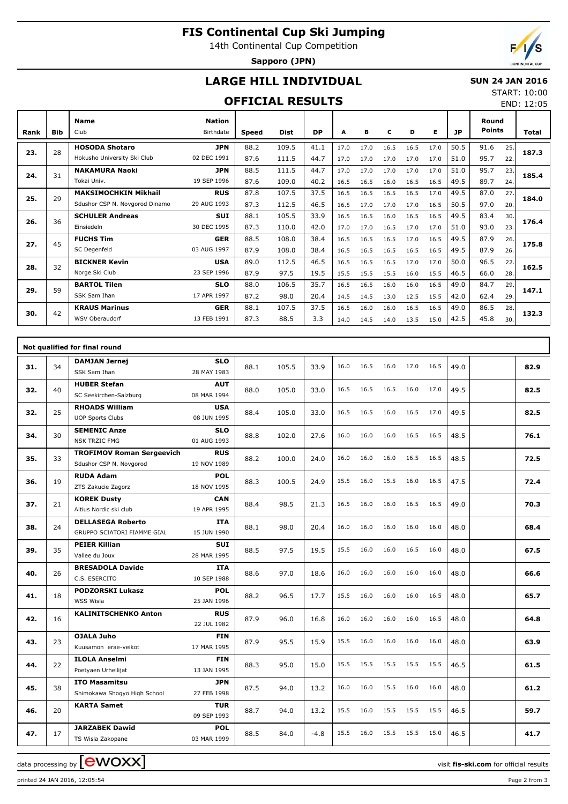# **FIS Continental Cup Ski Jumping**

14th Continental Cup Competition

**Sapporo (JPN)**

## **LARGE HILL INDIVIDUAL**

#### **SUN 24 JAN 2016** START: 10:00

### **OFFICIAL RESULTS**

END: 12:05

| Rank | <b>Bib</b> | <b>Name</b><br>Club            | <b>Nation</b><br>Birthdate | Speed | <b>Dist</b> | <b>DP</b> | A    | в    | c    | D    | Е    | JP   | Round<br><b>Points</b> |     | Total |
|------|------------|--------------------------------|----------------------------|-------|-------------|-----------|------|------|------|------|------|------|------------------------|-----|-------|
| 23.  | 28         | <b>HOSODA Shotaro</b>          | <b>JPN</b>                 | 88.2  | 109.5       | 41.1      | 17.0 | 17.0 | 16.5 | 16.5 | 17.0 | 50.5 | 91.6                   | 25. | 187.3 |
|      |            | Hokusho University Ski Club    | 02 DEC 1991                | 87.6  | 111.5       | 44.7      | 17.0 | 17.0 | 17.0 | 17.0 | 17.0 | 51.0 | 95.7                   | 22. |       |
| 24.  | 31         | <b>NAKAMURA Naoki</b>          | <b>JPN</b>                 | 88.5  | 111.5       | 44.7      | 17.0 | 17.0 | 17.0 | 17.0 | 17.0 | 51.0 | 95.7                   | 23. | 185.4 |
|      |            | Tokai Univ.                    | 19 SEP 1996                | 87.6  | 109.0       | 40.2      | 16.5 | 16.5 | 16.0 | 16.5 | 16.5 | 49.5 | 89.7                   | 24. |       |
| 25.  | 29         | <b>MAKSIMOCHKIN Mikhail</b>    | <b>RUS</b>                 | 87.8  | 107.5       | 37.5      | 16.5 | 16.5 | 16.5 | 16.5 | 17.0 | 49.5 | 87.0                   | 27. | 184.0 |
|      |            | Sdushor CSP N. Novgorod Dinamo | 29 AUG 1993                | 87.3  | 112.5       | 46.5      | 16.5 | 17.0 | 17.0 | 17.0 | 16.5 | 50.5 | 97.0                   | 20. |       |
| 26.  | 36         | <b>SCHULER Andreas</b>         | <b>SUI</b>                 | 88.1  | 105.5       | 33.9      | 16.5 | 16.5 | 16.0 | 16.5 | 16.5 | 49.5 | 83.4                   | 30. | 176.4 |
|      |            | Einsiedeln                     | 30 DEC 1995                | 87.3  | 110.0       | 42.0      | 17.0 | 17.0 | 16.5 | 17.0 | 17.0 | 51.0 | 93.0                   | 23. |       |
| 27.  | 45         | <b>FUCHS Tim</b>               | <b>GER</b>                 | 88.5  | 108.0       | 38.4      | 16.5 | 16.5 | 16.5 | 17.0 | 16.5 | 49.5 | 87.9                   | 26. | 175.8 |
|      |            | SC Degenfeld                   | 03 AUG 1997                | 87.9  | 108.0       | 38.4      | 16.5 | 16.5 | 16.5 | 16.5 | 16.5 | 49.5 | 87.9                   | 26. |       |
| 28.  | 32         | <b>BICKNER Kevin</b>           | <b>USA</b>                 | 89.0  | 112.5       | 46.5      | 16.5 | 16.5 | 16.5 | 17.0 | 17.0 | 50.0 | 96.5                   | 22. | 162.5 |
|      |            | Norge Ski Club                 | 23 SEP 1996                | 87.9  | 97.5        | 19.5      | 15.5 | 15.5 | 15.5 | 16.0 | 15.5 | 46.5 | 66.0                   | 28. |       |
| 29.  | 59         | <b>BARTOL Tilen</b>            | <b>SLO</b>                 | 88.0  | 106.5       | 35.7      | 16.5 | 16.5 | 16.0 | 16.0 | 16.5 | 49.0 | 84.7                   | 29. | 147.1 |
|      |            | SSK Sam Ihan                   | 17 APR 1997                | 87.2  | 98.0        | 20.4      | 14.5 | 14.5 | 13.0 | 12.5 | 15.5 | 42.0 | 62.4                   | 29. |       |
| 30.  | 42         | <b>KRAUS Marinus</b>           | <b>GER</b>                 | 88.1  | 107.5       | 37.5      | 16.5 | 16.0 | 16.0 | 16.5 | 16.5 | 49.0 | 86.5                   | 28. | 132.3 |
|      |            | WSV Oberaudorf                 | 13 FEB 1991                | 87.3  | 88.5        | 3.3       | 14.0 | 14.5 | 14.0 | 13.5 | 15.0 | 42.5 | 45.8                   | 30. |       |

|     |    | Not qualified for final round              |                           |      |       |        |      |      |      |      |      |      |      |
|-----|----|--------------------------------------------|---------------------------|------|-------|--------|------|------|------|------|------|------|------|
| 31. | 34 | <b>DAMJAN Jernej</b><br>SSK Sam Ihan       | <b>SLO</b><br>28 MAY 1983 | 88.1 | 105.5 | 33.9   | 16.0 | 16.5 | 16.0 | 17.0 | 16.5 | 49.0 | 82.9 |
|     |    | <b>HUBER Stefan</b>                        | <b>AUT</b>                |      |       |        |      |      |      |      |      |      |      |
| 32. | 40 | SC Seekirchen-Salzburg                     | 08 MAR 1994               | 88.0 | 105.0 | 33.0   | 16.5 | 16.5 | 16.5 | 16.0 | 17.0 | 49.5 | 82.5 |
|     |    | <b>RHOADS William</b>                      | <b>USA</b>                |      |       |        |      |      |      |      |      |      |      |
| 32. | 25 | <b>UOP Sports Clubs</b>                    | 08 JUN 1995               | 88.4 | 105.0 | 33.0   | 16.5 | 16.5 | 16.0 | 16.5 | 17.0 | 49.5 | 82.5 |
| 34. | 30 | <b>SEMENIC Anze</b>                        | <b>SLO</b>                | 88.8 | 102.0 | 27.6   | 16.0 | 16.0 | 16.0 | 16.5 | 16.5 | 48.5 | 76.1 |
|     |    | <b>NSK TRZIC FMG</b>                       | 01 AUG 1993               |      |       |        |      |      |      |      |      |      |      |
| 35. | 33 | <b>TROFIMOV Roman Sergeevich</b>           | <b>RUS</b>                | 88.2 | 100.0 | 24.0   | 16.0 | 16.0 | 16.0 | 16.5 | 16.5 | 48.5 | 72.5 |
|     |    | Sdushor CSP N. Novgorod                    | 19 NOV 1989               |      |       |        |      |      |      |      |      |      |      |
| 36. | 19 | <b>RUDA Adam</b>                           | <b>POL</b><br>18 NOV 1995 | 88.3 | 100.5 | 24.9   | 15.5 | 16.0 | 15.5 | 16.0 | 16.5 | 47.5 | 72.4 |
|     |    | ZTS Zakucie Zagorz<br><b>KOREK Dusty</b>   | <b>CAN</b>                |      |       |        |      |      |      |      |      |      |      |
| 37. | 21 | Altius Nordic ski club                     | 19 APR 1995               | 88.4 | 98.5  | 21.3   | 16.5 | 16.0 | 16.0 | 16.5 | 16.5 | 49.0 | 70.3 |
| 38. | 24 | <b>DELLASEGA Roberto</b>                   | <b>ITA</b>                | 88.1 | 98.0  | 20.4   | 16.0 | 16.0 | 16.0 | 16.0 | 16.0 | 48.0 | 68.4 |
|     |    | GRUPPO SCIATORI FIAMME GIAL                | 15 JUN 1990               |      |       |        |      |      |      |      |      |      |      |
| 39. | 35 | <b>PEIER Killian</b>                       | <b>SUI</b>                | 88.5 | 97.5  | 19.5   | 15.5 | 16.0 | 16.0 | 16.5 | 16.0 | 48.0 | 67.5 |
|     |    | Vallee du Joux                             | 28 MAR 1995               |      |       |        |      |      |      |      |      |      |      |
| 40. | 26 | <b>BRESADOLA Davide</b><br>C.S. ESERCITO   | <b>ITA</b><br>10 SEP 1988 | 88.6 | 97.0  | 18.6   | 16.0 | 16.0 | 16.0 | 16.0 | 16.0 | 48.0 | 66.6 |
|     |    | <b>PODZORSKI Lukasz</b>                    | <b>POL</b>                |      | 96.5  | 17.7   |      |      |      |      |      |      |      |
| 41. | 18 | WSS Wisla                                  | 25 JAN 1996               | 88.2 |       |        | 15.5 | 16.0 | 16.0 | 16.0 | 16.5 | 48.0 | 65.7 |
| 42. | 16 | <b>KALINITSCHENKO Anton</b>                | <b>RUS</b>                | 87.9 | 96.0  | 16.8   | 16.0 | 16.0 | 16.0 | 16.0 | 16.5 | 48.0 | 64.8 |
|     |    |                                            | 22 JUL 1982               |      |       |        |      |      |      |      |      |      |      |
| 43. | 23 | <b>OJALA Juho</b><br>Kuusamon erae-veikot  | <b>FIN</b><br>17 MAR 1995 | 87.9 | 95.5  | 15.9   | 15.5 | 16.0 | 16.0 | 16.0 | 16.0 | 48.0 | 63.9 |
|     |    | <b>ILOLA Anselmi</b>                       | <b>FIN</b>                |      |       |        |      |      |      |      |      |      |      |
| 44. | 22 | Poetyaen Urheilijat                        | 13 JAN 1995               | 88.3 | 95.0  | 15.0   | 15.5 | 15.5 | 15.5 | 15.5 | 15.5 | 46.5 | 61.5 |
| 45. | 38 | <b>ITO Masamitsu</b>                       | <b>JPN</b>                | 87.5 | 94.0  | 13.2   | 16.0 | 16.0 | 15.5 | 16.0 | 16.0 | 48.0 | 61.2 |
|     |    | Shimokawa Shogyo High School               | 27 FEB 1998               |      |       |        |      |      |      |      |      |      |      |
| 46. | 20 | <b>KARTA Samet</b>                         | <b>TUR</b><br>09 SEP 1993 | 88.7 | 94.0  | 13.2   | 15.5 | 16.0 | 15.5 | 15.5 | 15.5 | 46.5 | 59.7 |
| 47. | 17 | <b>JARZABEK Dawid</b><br>TS Wisla Zakopane | <b>POL</b><br>03 MAR 1999 | 88.5 | 84.0  | $-4.8$ | 15.5 | 16.0 | 15.5 | 15.5 | 15.0 | 46.5 | 41.7 |
|     |    |                                            |                           |      |       |        |      |      |      |      |      |      |      |

data processing by **CWOXX**  $\blacksquare$